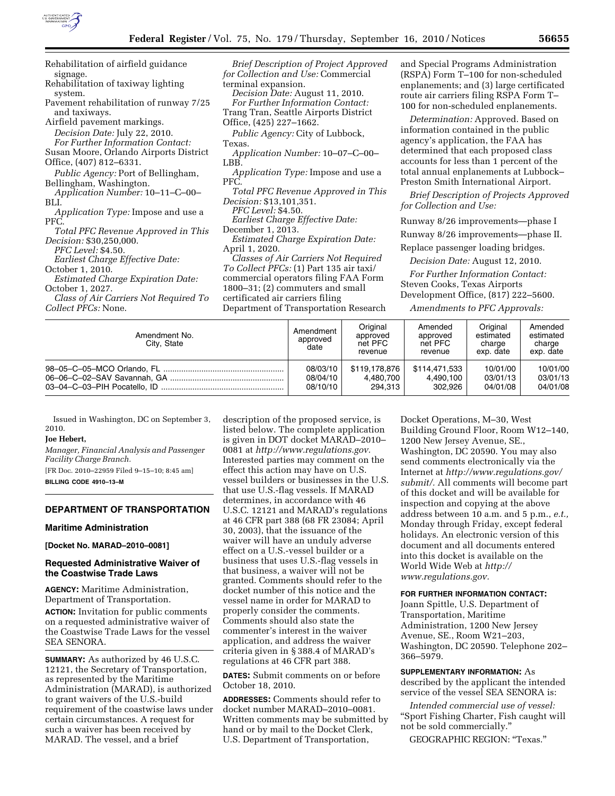

Rehabilitation of airfield guidance signage. Rehabilitation of taxiway lighting

system. Pavement rehabilitation of runway 7/25 and taxiways.

Airfield pavement markings.

*Decision Date:* July 22, 2010.

*For Further Information Contact:*  Susan Moore, Orlando Airports District Office, (407) 812–6331.

*Public Agency:* Port of Bellingham, Bellingham, Washington.

*Application Number:* 10–11–C–00– BLI.

*Application Type:* Impose and use a PFC.

*Total PFC Revenue Approved in This Decision:* \$30,250,000.

*PFC Level:* \$4.50.

*Earliest Charge Effective Date:* 

October 1, 2010. *Estimated Charge Expiration Date:*  October 1, 2027.

*Class of Air Carriers Not Required To Collect PFCs:* None.

*Brief Description of Project Approved for Collection and Use:* Commercial terminal expansion. *Decision Date:* August 11, 2010. *For Further Information Contact:*  Trang Tran, Seattle Airports District Office, (425) 227–1662. *Public Agency:* City of Lubbock, Texas. *Application Number:* 10–07–C–00– LBB. *Application Type:* Impose and use a PFC. *Total PFC Revenue Approved in This Decision:* \$13,101,351. *PFC Level:* \$4.50. *Earliest Charge Effective Date:*  December 1, 2013. *Estimated Charge Expiration Date:*  April 1, 2020. *Classes of Air Carriers Not Required To Collect PFCs:* (1) Part 135 air taxi/ commercial operators filing FAA Form 1800–31; (2) commuters and small certificated air carriers filing

Department of Transportation Research

and Special Programs Administration (RSPA) Form T–100 for non-scheduled enplanements; and (3) large certificated route air carriers filing RSPA Form T– 100 for non-scheduled enplanements.

*Determination:* Approved. Based on information contained in the public agency's application, the FAA has determined that each proposed class accounts for less than 1 percent of the total annual enplanements at Lubbock– Preston Smith International Airport.

*Brief Description of Projects Approved for Collection and Use:* 

Runway 8/26 improvements—phase I

Runway 8/26 improvements—phase II.

Replace passenger loading bridges.

*Decision Date:* August 12, 2010.

*For Further Information Contact:*  Steven Cooks, Texas Airports Development Office, (817) 222–5600.

*Amendments to PFC Approvals:* 

| Amendment No.<br>City, State | Amendment<br>approved<br>date | Original<br>approved<br>net PFC<br>revenue | Amended<br>approved<br>net PFC<br>revenue | Original<br>estimated<br>charge<br>exp. date | Amended<br>estimated<br>charge<br>exp. date |
|------------------------------|-------------------------------|--------------------------------------------|-------------------------------------------|----------------------------------------------|---------------------------------------------|
|                              | 08/03/10                      | \$119,178,876                              | \$114,471,533                             | 10/01/00                                     | 10/01/00                                    |
|                              | 08/04/10                      | 4.480.700                                  | 4.490.100                                 | 03/01/13                                     | 03/01/13                                    |
|                              | 08/10/10                      | 294.313                                    | 302.926                                   | 04/01/08                                     | 04/01/08                                    |

Issued in Washington, DC on September 3, 2010.

#### **Joe Hebert,**

*Manager, Financial Analysis and Passenger Facility Charge Branch.* 

[FR Doc. 2010–22959 Filed 9–15–10; 8:45 am] **BILLING CODE 4910–13–M** 

## **DEPARTMENT OF TRANSPORTATION**

#### **Maritime Administration**

**[Docket No. MARAD–2010–0081]** 

## **Requested Administrative Waiver of the Coastwise Trade Laws**

**AGENCY:** Maritime Administration, Department of Transportation. **ACTION:** Invitation for public comments on a requested administrative waiver of the Coastwise Trade Laws for the vessel SEA SENORA.

**SUMMARY:** As authorized by 46 U.S.C. 12121, the Secretary of Transportation, as represented by the Maritime Administration (MARAD), is authorized to grant waivers of the U.S.-build requirement of the coastwise laws under certain circumstances. A request for such a waiver has been received by MARAD. The vessel, and a brief

description of the proposed service, is listed below. The complete application is given in DOT docket MARAD–2010– 0081 at *[http://www.regulations.gov.](http://www.regulations.gov)*  Interested parties may comment on the effect this action may have on U.S. vessel builders or businesses in the U.S. that use U.S.-flag vessels. If MARAD determines, in accordance with 46 U.S.C. 12121 and MARAD's regulations at 46 CFR part 388 (68 FR 23084; April 30, 2003), that the issuance of the waiver will have an unduly adverse effect on a U.S.-vessel builder or a business that uses U.S.-flag vessels in that business, a waiver will not be granted. Comments should refer to the docket number of this notice and the vessel name in order for MARAD to properly consider the comments. Comments should also state the commenter's interest in the waiver application, and address the waiver criteria given in § 388.4 of MARAD's regulations at 46 CFR part 388.

**DATES:** Submit comments on or before October 18, 2010.

**ADDRESSES:** Comments should refer to docket number MARAD–2010–0081. Written comments may be submitted by hand or by mail to the Docket Clerk, U.S. Department of Transportation,

Docket Operations, M–30, West Building Ground Floor, Room W12–140, 1200 New Jersey Avenue, SE., Washington, DC 20590. You may also send comments electronically via the Internet at *[http://www.regulations.gov/](http://www.regulations.gov/submit/) [submit/.](http://www.regulations.gov/submit/)* All comments will become part of this docket and will be available for inspection and copying at the above address between 10 a.m. and 5 p.m., *e.t.,*  Monday through Friday, except federal holidays. An electronic version of this document and all documents entered into this docket is available on the World Wide Web at *[http://](http://www.regulations.gov) [www.regulations.gov.](http://www.regulations.gov)* 

## **FOR FURTHER INFORMATION CONTACT:**

Joann Spittle, U.S. Department of Transportation, Maritime Administration, 1200 New Jersey Avenue, SE., Room W21–203, Washington, DC 20590. Telephone 202– 366–5979.

**SUPPLEMENTARY INFORMATION:** As described by the applicant the intended service of the vessel SEA SENORA is:

*Intended commercial use of vessel:*  ''Sport Fishing Charter, Fish caught will not be sold commercially.''

GEOGRAPHIC REGION: ''Texas.''